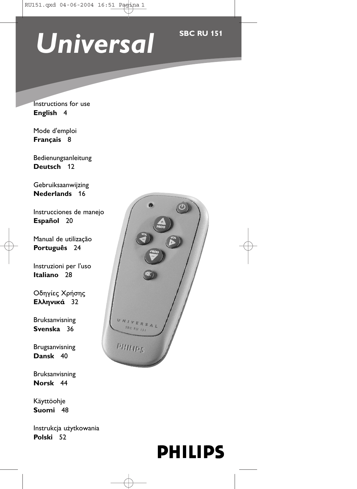# Universal **SBC RU 151**

Instructions for use **English** 4

Mode d'emploi **Français** 8

Bedienungsanleitung **Deutsch** 12

Gebruiksaanwijzing **Nederlands** 16

Instrucciones de manejo **Español** 20

Manual de utilização **Português** 24

Instruzioni per l'uso **Italiano** 28

Οδηγίες Χρήσης **Ελληνικά** 32

Bruksanvisning **Svenska** 36

Brugsanvisning **Dansk** 40

Bruksanvisning **Norsk** 44

Käyttöohje **Suomi** 48

Instrukcja użytkowania **Polski** 52



# **PHILIPS**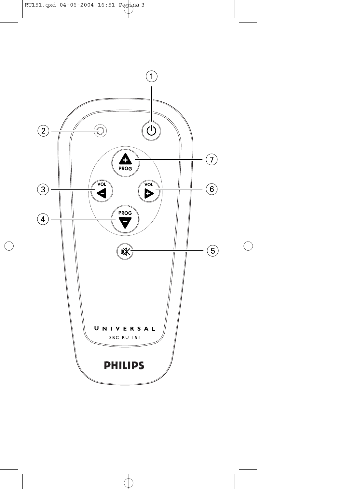

ុ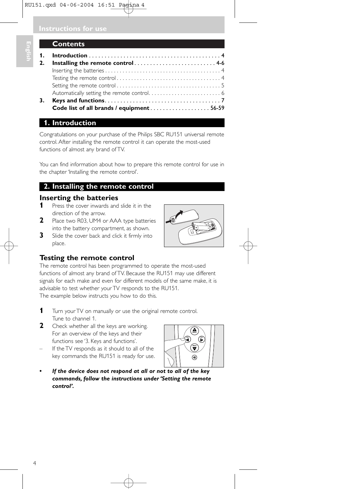| ۰ |
|---|
|   |
|   |
|   |

### **Contents**

| 3. |                                          |  |
|----|------------------------------------------|--|
|    | Code list of all brands / equipment56-59 |  |

## **1. Introduction**

Congratulations on your purchase of the Philips SBC RU151 universal remote control. After installing the remote control it can operate the most-used functions of almost any brand of TV.

You can find information about how to prepare this remote control for use in the chapter 'Installing the remote control'.

## **2. Installing the remote control**

### **Inserting the batteries**

- **1** Press the cover inwards and slide it in the direction of the arrow.
- **2** Place two R03, UM4 or AAA type batteries into the battery compartment, as shown.
- **3** Slide the cover back and click it firmly into place.



### **Testing the remote control**

The remote control has been programmed to operate the most-used functions of almost any brand of TV. Because the RU151 may use different signals for each make and even for different models of the same make, it is advisable to test whether your TV responds to the RU151. The example below instructs you how to do this.

- **1** Turn your TV on manually or use the original remote control. Tune to channel 1.
- **2** Check whether all the keys are working. For an overview of the keys and their functions see '3. Keys and functions'.
- If the TV responds as it should to all of the key commands the RU151 is ready for use.



*• If the device does not respond at all or not to all of the key commands, follow the instructions under 'Setting the remote control'.*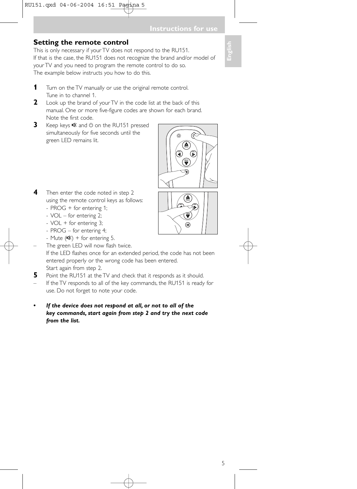### **Setting the remote control**

This is only necessary if your TV does not respond to the RU151. If that is the case, the RU151 does not recognize the brand and/or model of your TV and you need to program the remote control to do so. The example below instructs you how to do this.



- **1** Turn on the TV manually or use the original remote control. Tune in to channel 1.
- **2** Look up the brand of your TV in the code list at the back of this manual. One or more five-figure codes are shown for each brand. Note the first code.
- **3** Keep keys **K** and  $\circ$  on the RU151 pressed simultaneously for five seconds until the green LED remains lit.



 $\widehat{\mathbb{R}}$ 

- **4** Then enter the code noted in step 2 using the remote control keys as follows:
	- PROG + for entering 1;
	- VOL for entering 2;
	- VOL + for entering 3;
	- PROG for entering 4;
	- Mute  $(\mathbb{R})$  + for entering 5.
	- The green LED will now flash twice.

If the LED flashes once for an extended period, the code has not been entered properly or the wrong code has been entered. Start again from step 2.

- **5** Point the RU151 at the TV and check that it responds as it should.
- If the TV responds to all of the key commands, the RU151 is ready for use. Do not forget to note your code.
- *• If the device does not respond at all, or not to all of the key commands, start again from step 2 and try the next code from the list.*

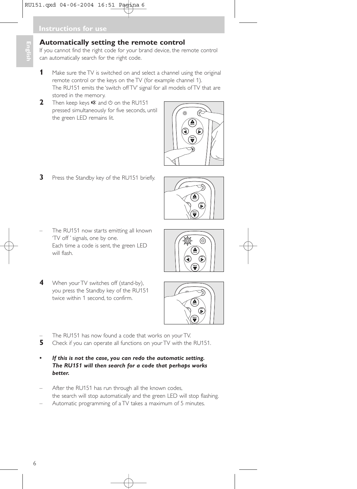### **Automatically setting the remote control**

If you cannot find the right code for your brand device, the remote control can automatically search for the right code.

- **1** Make sure the TV is switched on and select a channel using the original remote control or the keys on the TV (for example channel 1). The RU151 emits the 'switch off TV' signal for all models of TV that are stored in the memory.
- **2** Then keep keys  $\mathbb{R}$  and  $\circlearrowleft$  on the RU151 pressed simultaneously for five seconds, until the green LED remains lit.



- **3** Press the Standby key of the RU151 briefly.
- The RU151 now starts emitting all known 'TV off ' signals, one by one. Each time a code is sent, the green LED will flash.
- **4** When your TV switches off (stand-by), you press the Standby key of the RU151 twice within 1 second, to confirm.



**VOL VOL**





- The RU151 has now found a code that works on your TV.<br>**5** Check if you can operate all functions on your TV with the
- **5** Check if you can operate all functions on your TV with the RU151.
- *• If this is not the case, you can redo the automatic setting. The RU151 will then search for a code that perhaps works better.*
- After the RU151 has run through all the known codes, the search will stop automatically and the green LED will stop flashing.
- Automatic programming of a TV takes a maximum of 5 minutes.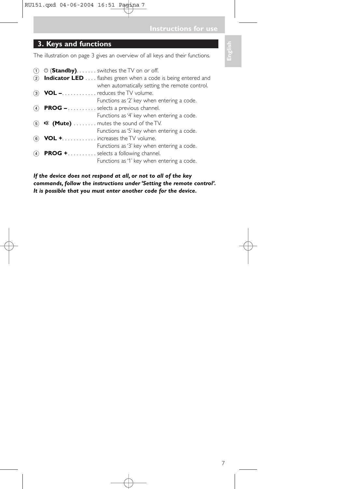**Instructions for use**

# **3. Keys and functions**

The illustration on page 3 gives an overview of all keys and their functions.

1  $\circled{1}$   $\circled{1}$  (**Standby)**. . . . . . . switches the TV on or off. 2 **Indicator LED** . . . . flashes green when a code is being entered and when automatically setting the remote control. 3 **VOL –**. . . . . . . . . . . . reduces the TV volume. Functions as '2' key when entering a code. 4 **PROG –** . . . . . . . . . . selects a previous channel. Functions as '4' key when entering a code. **6 \* (Mute)** . . . . . . . . mutes the sound of the TV. Functions as '5' key when entering a code. 6 **VOL +**. . . . . . . . . . . . increases the TV volume. Functions as '3' key when entering a code. 4 **PROG +**. . . . . . . . . . selects a following channel. Functions as '1' key when entering a code.

*If the device does not respond at all, or not to all of the key commands, follow the instructions under 'Setting the remote control'. It is possible that you must enter another code for the device.*

**English**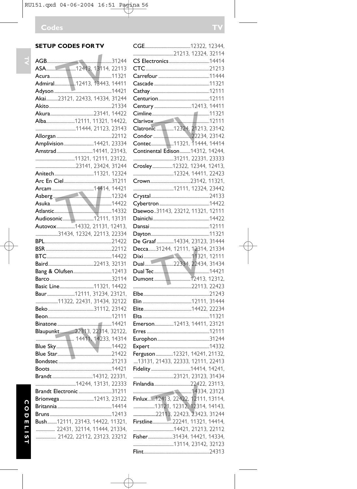# **SETUP CODES FOR TV**

| Akai23121, 22433, 14334, 31244  |  |  |
|---------------------------------|--|--|
|                                 |  |  |
|                                 |  |  |
| Alba12111, 11321, 14422,        |  |  |
|                                 |  |  |
|                                 |  |  |
|                                 |  |  |
|                                 |  |  |
|                                 |  |  |
|                                 |  |  |
|                                 |  |  |
|                                 |  |  |
|                                 |  |  |
|                                 |  |  |
| Asberg 12324                    |  |  |
| Asuka 14422                     |  |  |
|                                 |  |  |
|                                 |  |  |
|                                 |  |  |
| 31434, 12324, 22113, 22334      |  |  |
|                                 |  |  |
|                                 |  |  |
|                                 |  |  |
|                                 |  |  |
|                                 |  |  |
|                                 |  |  |
|                                 |  |  |
|                                 |  |  |
| Baur12111, 31234, 23121,        |  |  |
| 11322, 22431, 31434, 32122      |  |  |
|                                 |  |  |
|                                 |  |  |
|                                 |  |  |
| Blaupunkt22313, 22314, 32122,   |  |  |
|                                 |  |  |
|                                 |  |  |
|                                 |  |  |
|                                 |  |  |
|                                 |  |  |
|                                 |  |  |
|                                 |  |  |
| Brandt Electronic 31211         |  |  |
| Brionvega 12413, 23122          |  |  |
|                                 |  |  |
|                                 |  |  |
| Bush12111, 23143, 14422, 11321, |  |  |
| 22431, 32114, 11444, 21334,     |  |  |
|                                 |  |  |

................... 21422, 22112, 23123, 23212

| Clarivox 12111                    |  |  |
|-----------------------------------|--|--|
|                                   |  |  |
|                                   |  |  |
|                                   |  |  |
| Continental Edison14312, 14244,   |  |  |
|                                   |  |  |
|                                   |  |  |
|                                   |  |  |
|                                   |  |  |
|                                   |  |  |
|                                   |  |  |
|                                   |  |  |
|                                   |  |  |
| Daewoo31143, 23212, 11321, 12111  |  |  |
|                                   |  |  |
|                                   |  |  |
|                                   |  |  |
| De Graaf 14334, 23123, 31444      |  |  |
| Decca31244, 12111, 12314, 21334   |  |  |
|                                   |  |  |
|                                   |  |  |
|                                   |  |  |
|                                   |  |  |
|                                   |  |  |
|                                   |  |  |
|                                   |  |  |
|                                   |  |  |
|                                   |  |  |
| Emerson12413, 14411, 23121        |  |  |
|                                   |  |  |
|                                   |  |  |
|                                   |  |  |
| Ferguson 12321, 14241, 21132,     |  |  |
| 13131, 21433, 22333, 12111, 22413 |  |  |
|                                   |  |  |
|                                   |  |  |
|                                   |  |  |
|                                   |  |  |
|                                   |  |  |
|                                   |  |  |
|                                   |  |  |
| Firstline22241, 11321, 14414,     |  |  |
|                                   |  |  |
|                                   |  |  |
|                                   |  |  |
|                                   |  |  |
|                                   |  |  |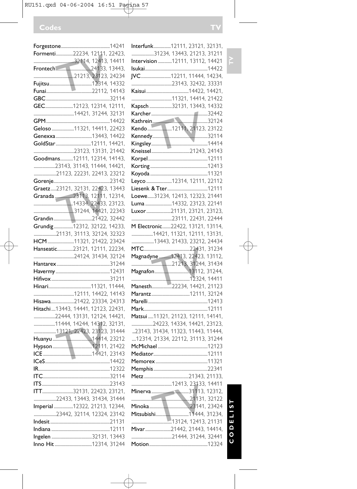# RU151.qxd 04-06-2004 16:51 Pagina 57

|                                      | Interfunk12111, 23121, 32131,       |
|--------------------------------------|-------------------------------------|
| Formenti22234, 12111, 22423,         | 31234, 13443, 21213, 31211          |
|                                      | Intervision 12111, 13112, 14421     |
| Frontech 24133, 13443,               |                                     |
|                                      | JVC12211, 11444, 14234,             |
|                                      |                                     |
|                                      |                                     |
|                                      |                                     |
| GEC12123, 12314, 12111,              | Kapsch 32131, 13443, 14332          |
|                                      |                                     |
|                                      |                                     |
| Geloso 11321, 14411, 22423           |                                     |
|                                      |                                     |
|                                      |                                     |
|                                      |                                     |
| Goodmans12111, 12314, 14143,         |                                     |
| 23143, 31143, 11444, 14421,          |                                     |
| 21123, 22231, 22413, 23212           |                                     |
|                                      | Leyco 12314, 12111, 22112           |
| Graetz23121, 32131, 22423, 13443     |                                     |
|                                      | Loewe31234, 12413, 12323, 21441     |
|                                      | Luma 14332, 23123, 22141            |
|                                      | Luxor21131, 23121, 23123,           |
|                                      |                                     |
|                                      | M Electronic22422, 13121, 13114,    |
| 21131, 31113, 32124, 32323           | 14421, 11321, 12111, 13131,         |
| HCM11321, 21422, 23424               | 13443, 21433, 23212, 24434          |
| Hanseatic23121, 12111, 22234,        |                                     |
|                                      | Magnadyne  12413, 22423, 13112,     |
|                                      |                                     |
|                                      |                                     |
|                                      |                                     |
|                                      | Manesth22234, 14421, 21123          |
|                                      |                                     |
| Hisawa21422, 23334, 24313            |                                     |
| Hitachi  13443, 14441, 12123, 22431, |                                     |
| 22444, 13131, 12124, 14421,          | Matsui  11321, 21123, 12111, 14141, |
| 11444, 14244, 14312, 32131,          | 24223, 14334, 14421, 23123,         |
| 13121, 22423, 23123, 31444           | 23143, 31434, 11323, 11443, 11444,  |
|                                      | 12314, 21334, 22112, 31113, 31244   |
|                                      |                                     |
|                                      |                                     |
|                                      |                                     |
|                                      |                                     |
|                                      | Metz 21343 21133                    |
|                                      |                                     |
|                                      |                                     |
| ITT32131, 22423, 23121,              |                                     |
| 22433, 13443, 31434, 31444           |                                     |
| Imperial 12322, 21213, 12344,        |                                     |
| 23442, 32114, 12324, 23142           |                                     |
|                                      |                                     |
|                                      | Mivar21442, 21443, 14414,           |
|                                      |                                     |
|                                      |                                     |
|                                      |                                     |

 $\overline{\bigoplus}$ 

**C O D E L I S T TV** CODELIST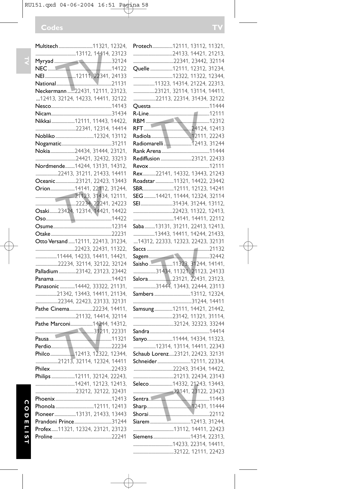NEI.............................12111, 22341, 24133 National....................................................21131 Neckermann .......22431, 12111, 23123, ...12413, 32124, 14233, 14411, 32122 Nesco.........................................................14143 Nicam.........................................................31434 Nikkai......................12111, 11443, 14422, ......................................22341, 12314, 14414 Nobliko....................................12324, 13112 Nogamatic...............................................31211 Nokia.......................24434, 31444, 23121, ......................................24421, 32432, 33213 Nordmende.........14244, 13131, 14312, .....................22413, 31211, 21433, 14411 Oceanic...................23121, 22423, 13443 Orion.......................14141, 22112, 31244, .....................................21123, 31434, 12111, ......................................22234, 22241, 24223 Osaki........23424, 12314, 14421, 14422 Oso..............................................................14422 Osume.......................................................12314 Otake .........................................................22231 Otto Versand ......12111, 22413, 31234, .....................................22423, 22431, 11322, ....................11444, 14233, 14411, 14421, .....................22234, 32114, 32122, 32124 Palladium................23142, 23123, 23442 Panama ......................................................14421 Panasonic .............14442, 33322, 21131, ....................21342, 13443, 14411, 21134, .....................22344, 22423, 23133, 32131 Pathe Cinema......................22234, 14411, ......................................21132, 14414, 32114 Pathe Marconi.....................14244, 14312, .......................................................31211, 22331 Pausa...........................................................11321 Perdio.........................................................22234 .....................21213, 32114, 12324, 14411 Philex..........................................................22433 Philips .........................12111, 32124, 22243, .....................................14241, 12123, 12413, ......................................23212, 32122, 32431 Phoenix.....................................................12413 Phonola ....................................12111, 12413 Pioneer....................13131, 21433, 13443 Prandoni Prince...................................31244 Profex......11321, 12324, 23121, 23123 Proline .......................................................22241

TV

TV Philco.......................12413, 12322, 12344,

 $\overline{\mathbf{v}}$ 

| Protech12111, 13112, 11321,       |
|-----------------------------------|
|                                   |
|                                   |
| Quelle 12111, 12312, 31234,       |
|                                   |
| 11323, 14314, 21224, 22313,       |
| 23121, 32114, 13114, 14411,       |
| 22113, 22314, 31434, 32122        |
|                                   |
|                                   |
|                                   |
|                                   |
|                                   |
|                                   |
|                                   |
|                                   |
| Rediffusion 23121, 22433          |
|                                   |
| Rex22141, 14332, 13443, 21243     |
| Roadstar 11321, 14422, 23442      |
|                                   |
|                                   |
|                                   |
| SEI 31434, 31244, 13112,          |
|                                   |
|                                   |
| Saba13131, 31211, 22413, 12413,   |
| 13443, 14411, 14244, 21433,       |
| 14312. 22333. 12323. 22423. 32131 |
|                                   |
|                                   |
|                                   |
|                                   |
|                                   |
| 31434, 11321, 21123, 24133        |
| Salora23121, 22431, 23123,        |
| 31444, 13443, 22444, 23113        |
| Sambers13112, 12324,              |
|                                   |
| Samsung12111, 14421, 21442,       |
|                                   |
|                                   |
|                                   |
| Sanyo11444, 14334, 11323,         |
|                                   |
| Schaub Lorenz23121, 22423, 32131  |
|                                   |
| Schneider12111, 22334,            |
|                                   |
| 21213, 22434, 23143               |
| Seleco14332, 21243, 13443,        |
|                                   |
|                                   |
|                                   |
|                                   |
|                                   |
|                                   |
|                                   |
|                                   |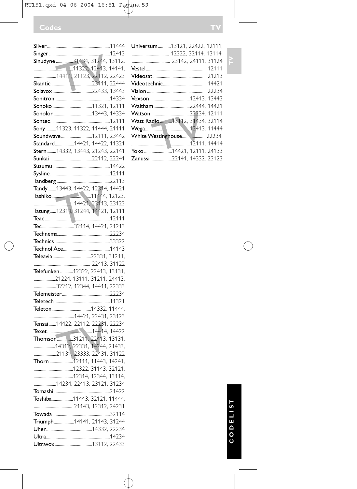| 14411, 21123, 22112, 22423                                              |  |
|-------------------------------------------------------------------------|--|
|                                                                         |  |
|                                                                         |  |
|                                                                         |  |
|                                                                         |  |
|                                                                         |  |
|                                                                         |  |
| Sony11323, 11322, 11444, 21111                                          |  |
| Soundwave12111, 23442                                                   |  |
|                                                                         |  |
| Standard14421, 14422, 11321<br>Stern14332, 13443, 21243, 22141          |  |
|                                                                         |  |
|                                                                         |  |
|                                                                         |  |
|                                                                         |  |
|                                                                         |  |
| Tandy13443, 14422, 12314, 14421<br>Tashiko11444, 12123,                 |  |
|                                                                         |  |
|                                                                         |  |
| Tatung12314, 31244, 14421, 12111                                        |  |
| Teac 2011<br>Tec 2011 - 2014, 14421, 21213                              |  |
|                                                                         |  |
|                                                                         |  |
|                                                                         |  |
|                                                                         |  |
|                                                                         |  |
|                                                                         |  |
|                                                                         |  |
| Telefunken 12322, 22413, 13131,                                         |  |
|                                                                         |  |
| 21224, 13111, 31211, 24413 <mark>,</mark><br>32212, 12344, 14411, 22333 |  |
|                                                                         |  |
|                                                                         |  |
|                                                                         |  |
|                                                                         |  |
|                                                                         |  |
|                                                                         |  |
| Thomson31211, 22413, 13131,                                             |  |
|                                                                         |  |
| 14312, 22331, 14244, 21433,<br>21131, 23333, 22431, 31122               |  |
| Thorn 12111, 11443, 14241,                                              |  |
|                                                                         |  |
|                                                                         |  |
| 14234, 22413, 23121, 31234                                              |  |
|                                                                         |  |
| Toshiba11443, 32121, 11444,                                             |  |
|                                                                         |  |
|                                                                         |  |
|                                                                         |  |
| Triumph14141, 21143, 31244                                              |  |
|                                                                         |  |

֏

| Universum13121. 22422. 12111.   |  |
|---------------------------------|--|
|                                 |  |
|                                 |  |
|                                 |  |
|                                 |  |
|                                 |  |
|                                 |  |
|                                 |  |
| Waltham22444, 14421             |  |
|                                 |  |
| Watt Radio  13112, 31434, 32114 |  |
|                                 |  |
| <b>White Westinghouse22234,</b> |  |
|                                 |  |
|                                 |  |
| Zanussi22141. 14332. 23123      |  |

# **C O D E L I S T TV** CODELIST